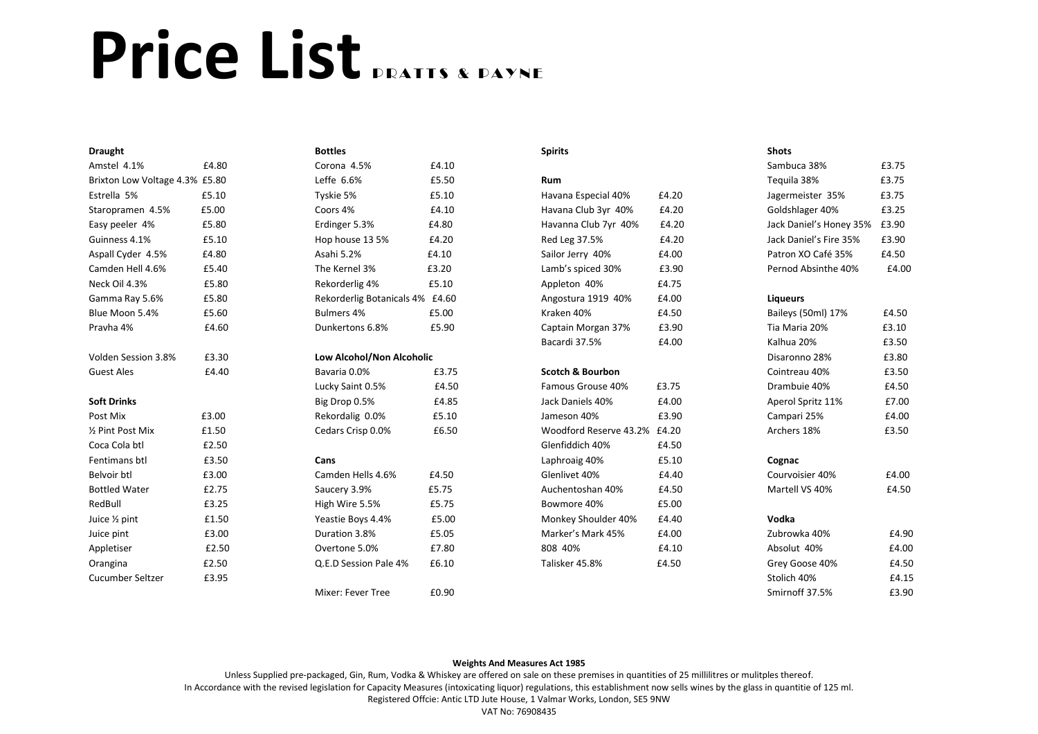## Price List **PRATIS & PAYNE**

| <b>Draught</b>                 |                                    | <b>Bottles</b>                  |       | <b>Spirits</b>               |               | <b>Shots</b>            |       |
|--------------------------------|------------------------------------|---------------------------------|-------|------------------------------|---------------|-------------------------|-------|
| Amstel 4.1%                    | £4.80                              | Corona 4.5%                     | £4.10 |                              |               | Sambuca 38%             | £3.75 |
| Brixton Low Voltage 4.3% £5.80 |                                    | Leffe 6.6%                      | £5.50 | Rum                          |               | Teguila 38%             | £3.75 |
| Estrella 5%                    | £5.10                              | Tyskie 5%                       | £5.10 | Havana Especial 40%          | £4.20         | Jagermeister 35%        | £3.75 |
| Staropramen 4.5%               | £5.00                              | Coors 4%                        | £4.10 | Havana Club 3yr 40%          | £4.20         | Goldshlager 40%         | £3.25 |
| Easy peeler 4%                 | £5.80                              | Erdinger 5.3%                   | £4.80 | Havanna Club 7yr 40%         | £4.20         | Jack Daniel's Honey 35% | £3.90 |
| Guinness 4.1%                  | £5.10                              | Hop house 13 5%                 | £4.20 | Red Leg 37.5%                | £4.20         | Jack Daniel's Fire 35%  | £3.90 |
| Aspall Cyder 4.5%              | £4.80                              | Asahi 5.2%                      | £4.10 | Sailor Jerry 40%             | £4.00         | Patron XO Café 35%      | £4.50 |
| Camden Hell 4.6%               | £5.40                              | The Kernel 3%                   | £3.20 | Lamb's spiced 30%            | £3.90         | Pernod Absinthe 40%     | £4.00 |
| Neck Oil 4.3%                  | £5.80                              | Rekorderlig 4%                  | £5.10 | Appleton 40%                 | £4.75         |                         |       |
| Gamma Ray 5.6%                 | £5.80                              | Rekorderlig Botanicals 4% £4.60 |       | Angostura 1919 40%           | £4.00         | <b>Liqueurs</b>         |       |
| Blue Moon 5.4%                 | £5.60                              | Bulmers 4%                      | £5.00 | Kraken 40%                   | £4.50         | Baileys (50ml) 17%      | £4.50 |
| Pravha 4%                      | £4.60                              | Dunkertons 6.8%                 | £5.90 | Captain Morgan 37%           | £3.90         | Tia Maria 20%           | £3.10 |
|                                |                                    |                                 |       | Bacardi 37.5%                | £4.00         | Kalhua 20%              | £3.50 |
| Volden Session 3.8%            | £3.30<br>Low Alcohol/Non Alcoholic |                                 |       |                              | Disaronno 28% | £3.80                   |       |
| <b>Guest Ales</b>              | £4.40                              | Bavaria 0.0%                    | £3.75 | <b>Scotch &amp; Bourbon</b>  |               | Cointreau 40%           | £3.50 |
|                                |                                    | Lucky Saint 0.5%                | £4.50 | Famous Grouse 40%            | £3.75         | Drambuie 40%            | £4.50 |
| <b>Soft Drinks</b>             |                                    | Big Drop 0.5%                   | £4.85 | Jack Daniels 40%             | £4.00         | Aperol Spritz 11%       | £7.00 |
| Post Mix                       | £3.00                              | Rekordalig 0.0%                 | £5.10 | Jameson 40%                  | £3.90         | Campari 25%             | £4.00 |
| 1/2 Pint Post Mix              | £1.50                              | Cedars Crisp 0.0%               | £6.50 | Woodford Reserve 43.2% £4.20 |               | Archers 18%             | £3.50 |
| Coca Cola btl                  | £2.50                              |                                 |       | Glenfiddich 40%              | £4.50         |                         |       |
| Fentimans btl                  | £3.50                              | Cans                            |       | Laphroaig 40%                | £5.10         | Cognac                  |       |
| Belvoir btl                    | £3.00                              | Camden Hells 4.6%               | £4.50 | Glenlivet 40%                | £4.40         | Courvoisier 40%         | £4.00 |
| <b>Bottled Water</b>           | £2.75                              | Saucery 3.9%                    | £5.75 | Auchentoshan 40%             | £4.50         | Martell VS 40%          | £4.50 |
| RedBull                        | £3.25                              | High Wire 5.5%                  | £5.75 | Bowmore 40%                  | £5.00         |                         |       |
| Juice 1/2 pint                 | £1.50                              | Yeastie Boys 4.4%               | £5.00 | Monkey Shoulder 40%          | £4.40         | Vodka                   |       |
| Juice pint                     | £3.00                              | Duration 3.8%                   | £5.05 | Marker's Mark 45%            | £4.00         | Zubrowka 40%            | £4.90 |
| Appletiser                     | £2.50                              | Overtone 5.0%                   | £7.80 | 808 40%                      | £4.10         | Absolut 40%             | £4.00 |
| Orangina                       | £2.50                              | Q.E.D Session Pale 4%           | £6.10 | Talisker 45.8%               | £4.50         | Grey Goose 40%          | £4.50 |
| <b>Cucumber Seltzer</b>        | £3.95                              |                                 |       |                              |               | Stolich 40%             | £4.15 |
|                                |                                    | Mixer: Fever Tree               | £0.90 |                              |               | Smirnoff 37.5%          | £3.90 |

## **Weights And Measures Act 1985**

Unless Supplied pre-packaged, Gin, Rum, Vodka & Whiskey are offered on sale on these premises in quantities of 25 millilitres or mulitples thereof. In Accordance with the revised legislation for Capacity Measures (intoxicating liquor) regulations, this establishment now sells wines by the glass in quantitie of 125 ml. Registered Offcie: Antic LTD Jute House, 1 Valmar Works, London, SE5 9NW

VAT No: 76908435